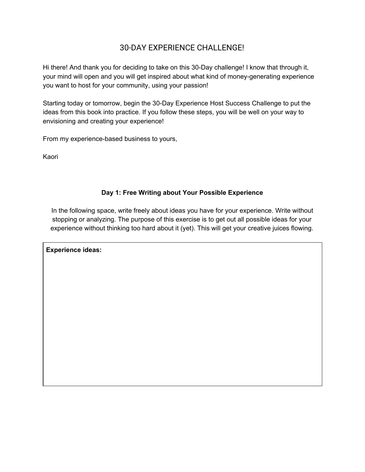# 30-DAY EXPERIENCE CHALLENGE!

Hi there! And thank you for deciding to take on this 30-Day challenge! I know that through it, your mind will open and you will get inspired about what kind of money-generating experience you want to host for your community, using your passion!

Starting today or tomorrow, begin the 30-Day Experience Host Success Challenge to put the ideas from this book into practice. If you follow these steps, you will be well on your way to envisioning and creating your experience!

From my experience-based business to yours,

Kaori

# **Day 1: Free Writing about Your Possible Experience**

In the following space, write freely about ideas you have for your experience. Write without stopping or analyzing. The purpose of this exercise is to get out all possible ideas for your experience without thinking too hard about it (yet). This will get your creative juices flowing.

**Experience ideas:**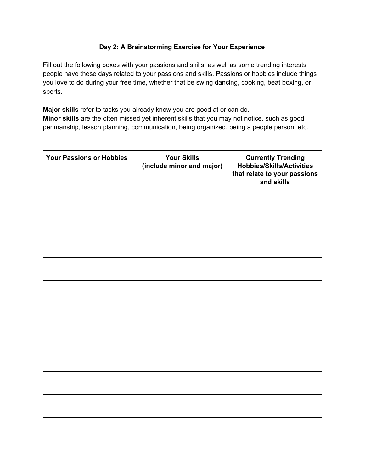### **Day 2: A Brainstorming Exercise for Your Experience**

Fill out the following boxes with your passions and skills, as well as some trending interests people have these days related to your passions and skills. Passions or hobbies include things you love to do during your free time, whether that be swing dancing, cooking, beat boxing, or sports.

**Major skills** refer to tasks you already know you are good at or can do. **Minor skills** are the often missed yet inherent skills that you may not notice, such as good penmanship, lesson planning, communication, being organized, being a people person, etc.

| <b>Your Passions or Hobbies</b> | <b>Your Skills</b><br>(include minor and major) | <b>Currently Trending</b><br><b>Hobbies/Skills/Activities</b><br>that relate to your passions<br>and skills |
|---------------------------------|-------------------------------------------------|-------------------------------------------------------------------------------------------------------------|
|                                 |                                                 |                                                                                                             |
|                                 |                                                 |                                                                                                             |
|                                 |                                                 |                                                                                                             |
|                                 |                                                 |                                                                                                             |
|                                 |                                                 |                                                                                                             |
|                                 |                                                 |                                                                                                             |
|                                 |                                                 |                                                                                                             |
|                                 |                                                 |                                                                                                             |
|                                 |                                                 |                                                                                                             |
|                                 |                                                 |                                                                                                             |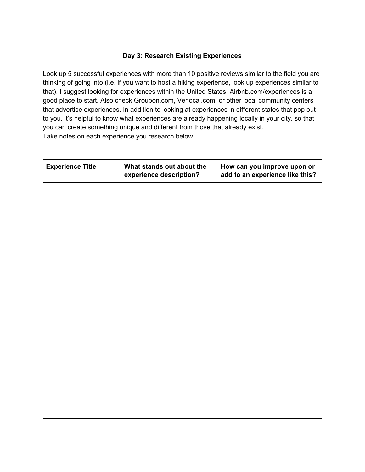### **Day 3: Research Existing Experiences**

Look up 5 successful experiences with more than 10 positive reviews similar to the field you are thinking of going into (i.e. if you want to host a hiking experience, look up experiences similar to that). I suggest looking for experiences within the United States. Airbnb.com/experiences is a good place to start. Also check Groupon.com, Verlocal.com, or other local community centers that advertise experiences. In addition to looking at experiences in different states that pop out to you, it's helpful to know what experiences are already happening locally in your city, so that you can create something unique and different from those that already exist. Take notes on each experience you research below.

| <b>Experience Title</b> | What stands out about the<br>experience description? | How can you improve upon or<br>add to an experience like this? |  |
|-------------------------|------------------------------------------------------|----------------------------------------------------------------|--|
|                         |                                                      |                                                                |  |
|                         |                                                      |                                                                |  |
|                         |                                                      |                                                                |  |
|                         |                                                      |                                                                |  |
|                         |                                                      |                                                                |  |
|                         |                                                      |                                                                |  |
|                         |                                                      |                                                                |  |
|                         |                                                      |                                                                |  |
|                         |                                                      |                                                                |  |
|                         |                                                      |                                                                |  |
|                         |                                                      |                                                                |  |
|                         |                                                      |                                                                |  |
|                         |                                                      |                                                                |  |
|                         |                                                      |                                                                |  |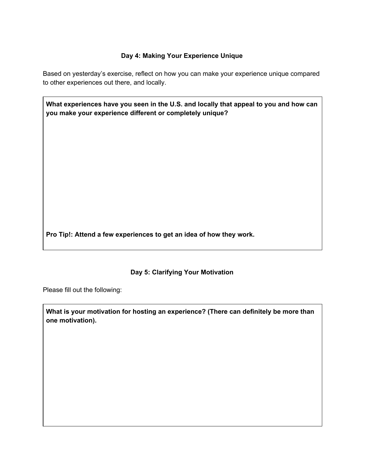# **Day 4: Making Your Experience Unique**

Based on yesterday's exercise, reflect on how you can make your experience unique compared to other experiences out there, and locally.

| What experiences have you seen in the U.S. and locally that appeal to you and how can |
|---------------------------------------------------------------------------------------|
| you make your experience different or completely unique?                              |

**Pro Tip!: Attend a few experiences to get an idea of how they work.**

### **Day 5: Clarifying Your Motivation**

Please fill out the following:

**What is your motivation for hosting an experience? (There can definitely be more than one motivation).**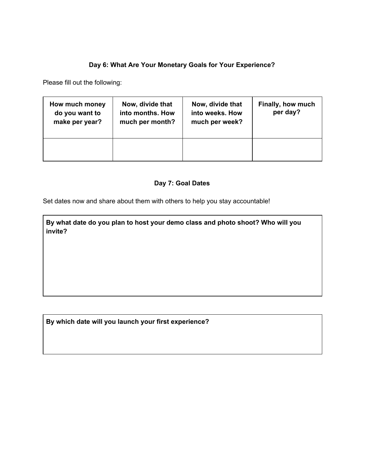# **Day 6: What Are Your Monetary Goals for Your Experience?**

Please fill out the following:

| How much money<br>do you want to<br>make per year? | Now, divide that<br>into months. How<br>much per month? | Now, divide that<br>into weeks. How<br>much per week? | Finally, how much<br>per day? |
|----------------------------------------------------|---------------------------------------------------------|-------------------------------------------------------|-------------------------------|
|                                                    |                                                         |                                                       |                               |

### **Day 7: Goal Dates**

Set dates now and share about them with others to help you stay accountable!

**By what date do you plan to host your demo class and photo shoot? Who will you invite?**

**By which date will you launch your first experience?**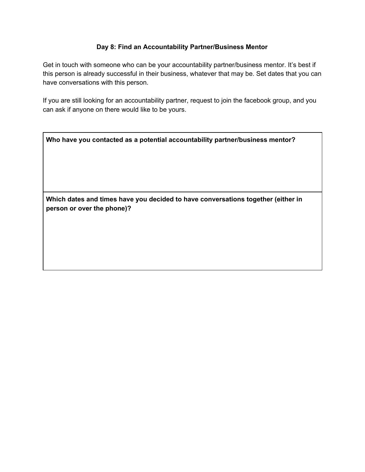### **Day 8: Find an Accountability Partner/Business Mentor**

Get in touch with someone who can be your accountability partner/business mentor. It's best if this person is already successful in their business, whatever that may be. Set dates that you can have conversations with this person.

If you are still looking for an accountability partner, request to join the facebook group, and you can ask if anyone on there would like to be yours.

| Who have you contacted as a potential accountability partner/business mentor? |  |
|-------------------------------------------------------------------------------|--|
|-------------------------------------------------------------------------------|--|

**Which dates and times have you decided to have conversations together (either in person or over the phone)?**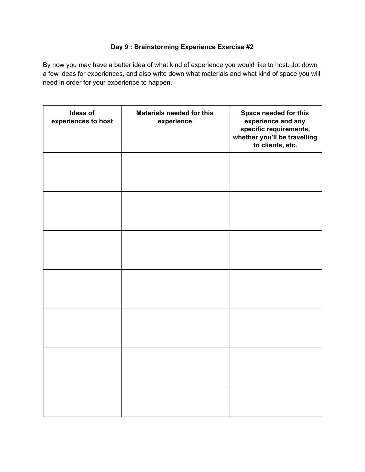# **Day 9 : Brainstorming Experience Exercise #2**

By now you may have a better idea of what kind of experience you would like to host. Jot down a few ideas for experiences, and also write down what materials and what kind of space you will need in order for your experience to happen.

| Ideas of<br>experiences to host | <b>Materials needed for this</b><br>experience | Space needed for this<br>experience and any<br>specific requirements,<br>whether you'll be travelling<br>to clients, etc. |
|---------------------------------|------------------------------------------------|---------------------------------------------------------------------------------------------------------------------------|
|                                 |                                                |                                                                                                                           |
|                                 |                                                |                                                                                                                           |
|                                 |                                                |                                                                                                                           |
|                                 |                                                |                                                                                                                           |
|                                 |                                                |                                                                                                                           |
|                                 |                                                |                                                                                                                           |
|                                 |                                                |                                                                                                                           |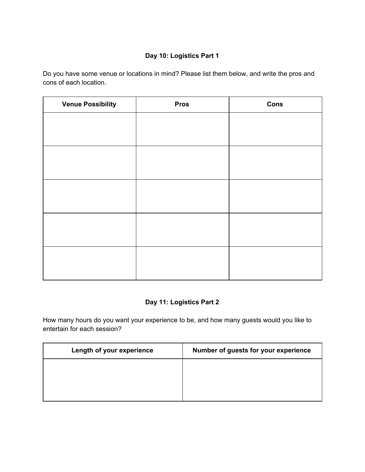# **Day 10: Logistics Part 1**

Do you have some venue or locations in mind? Please list them below, and write the pros and cons of each location.

| <b>Venue Possibility</b> | <b>Pros</b> | Cons |
|--------------------------|-------------|------|
|                          |             |      |
|                          |             |      |
|                          |             |      |
|                          |             |      |
|                          |             |      |
|                          |             |      |
|                          |             |      |
|                          |             |      |
|                          |             |      |
|                          |             |      |
|                          |             |      |

# **Day 11: Logistics Part 2**

How many hours do you want your experience to be, and how many guests would you like to entertain for each session?

| Length of your experience | Number of guests for your experience |
|---------------------------|--------------------------------------|
|                           |                                      |
|                           |                                      |
|                           |                                      |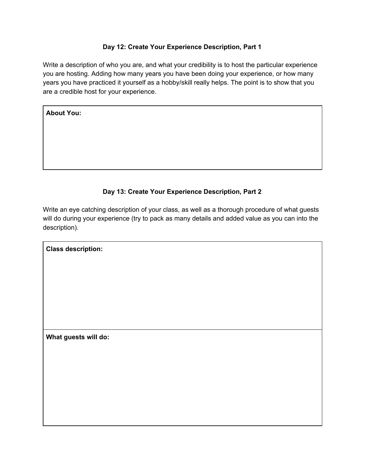### **Day 12: Create Your Experience Description, Part 1**

Write a description of who you are, and what your credibility is to host the particular experience you are hosting. Adding how many years you have been doing your experience, or how many years you have practiced it yourself as a hobby/skill really helps. The point is to show that you are a credible host for your experience.

### **Day 13: Create Your Experience Description, Part 2**

Write an eye catching description of your class, as well as a thorough procedure of what guests will do during your experience (try to pack as many details and added value as you can into the description).

**What guests will do:**

**Class description:**

**About You:**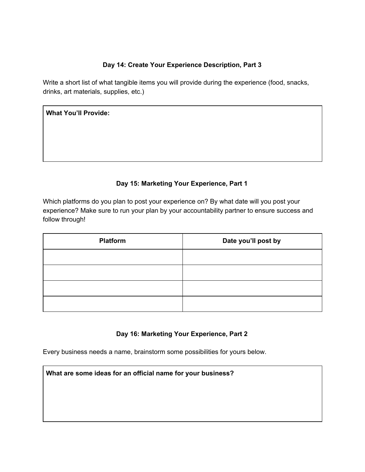### **Day 14: Create Your Experience Description, Part 3**

Write a short list of what tangible items you will provide during the experience (food, snacks, drinks, art materials, supplies, etc.)

| <b>What You'll Provide:</b> |  |  |
|-----------------------------|--|--|
|                             |  |  |
|                             |  |  |
|                             |  |  |

# **Day 15: Marketing Your Experience, Part 1**

Which platforms do you plan to post your experience on? By what date will you post your experience? Make sure to run your plan by your accountability partner to ensure success and follow through!

| <b>Platform</b> | Date you'll post by |  |
|-----------------|---------------------|--|
|                 |                     |  |
|                 |                     |  |
|                 |                     |  |
|                 |                     |  |

### **Day 16: Marketing Your Experience, Part 2**

Every business needs a name, brainstorm some possibilities for yours below.

**What are some ideas for an official name for your business?**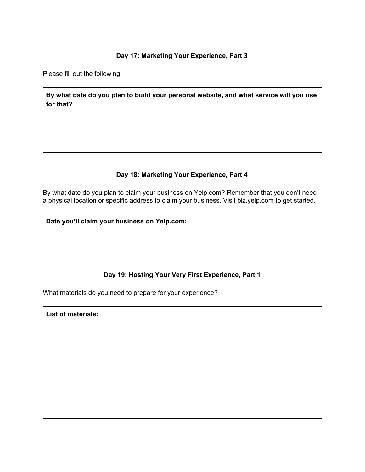### **Day 17: Marketing Your Experience, Part 3**

Please fill out the following:

**By what date do you plan to build your personal website, and what service will you use for that?**

### **Day 18: Marketing Your Experience, Part 4**

By what date do you plan to claim your business on Yelp.com? Remember that you don't need a physical location or specific address to claim your business. Visit biz.yelp.com to get started.

**Date you'll claim your business on Yelp.com:**

### **Day 19: Hosting Your Very First Experience, Part 1**

What materials do you need to prepare for your experience?

**List of materials:**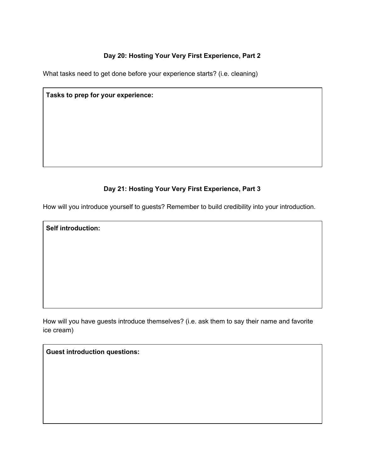# **Day 20: Hosting Your Very First Experience, Part 2**

What tasks need to get done before your experience starts? (i.e. cleaning)

# **Tasks to prep for your experience:**

# **Day 21: Hosting Your Very First Experience, Part 3**

How will you introduce yourself to guests? Remember to build credibility into your introduction.

**Self introduction:**

How will you have guests introduce themselves? (i.e. ask them to say their name and favorite ice cream)

**Guest introduction questions:**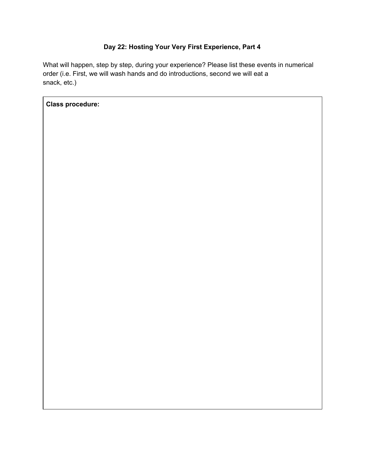# **Day 22: Hosting Your Very First Experience, Part 4**

What will happen, step by step, during your experience? Please list these events in numerical order (i.e. First, we will wash hands and do introductions, second we will eat a snack, etc.)

**Class procedure:**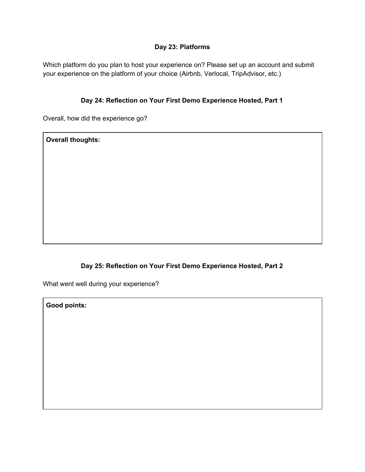### **Day 23: Platforms**

Which platform do you plan to host your experience on? Please set up an account and submit your experience on the platform of your choice (Airbnb, Verlocal, TripAdvisor, etc.)

### **Day 24: Reflection on Your First Demo Experience Hosted, Part 1**

Overall, how did the experience go?

**Overall thoughts:**

# **Day 25: Reflection on Your First Demo Experience Hosted, Part 2**

What went well during your experience?

**Good points:**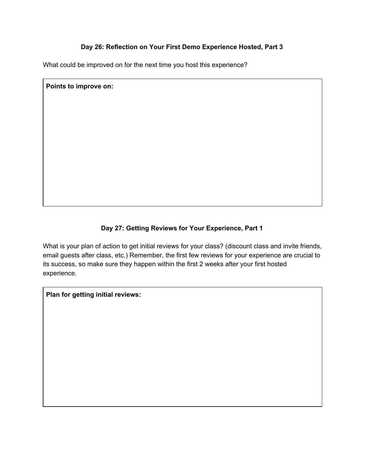### **Day 26: Reflection on Your First Demo Experience Hosted, Part 3**

What could be improved on for the next time you host this experience?

**Points to improve on:**

# **Day 27: Getting Reviews for Your Experience, Part 1**

What is your plan of action to get initial reviews for your class? (discount class and invite friends, email guests after class, etc.) Remember, the first few reviews for your experience are crucial to its success, so make sure they happen within the first 2 weeks after your first hosted experience.

**Plan for getting initial reviews:**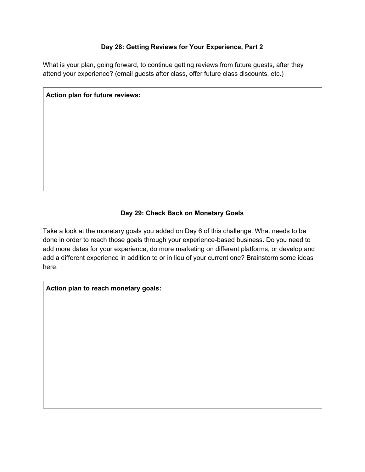### **Day 28: Getting Reviews for Your Experience, Part 2**

What is your plan, going forward, to continue getting reviews from future guests, after they attend your experience? (email guests after class, offer future class discounts, etc.)

**Action plan for future reviews:**

# **Day 29: Check Back on Monetary Goals**

Take a look at the monetary goals you added on Day 6 of this challenge. What needs to be done in order to reach those goals through your experience-based business. Do you need to add more dates for your experience, do more marketing on different platforms, or develop and add a different experience in addition to or in lieu of your current one? Brainstorm some ideas here.

**Action plan to reach monetary goals:**